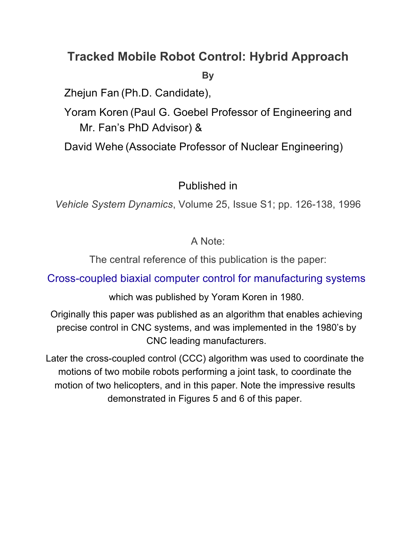# **Tracked Mobile Robot Control: Hybrid Approach**

**By**

Zhejun Fan (Ph.D. Candidate),

Yoram Koren [\(Paul G. Goebel Profes](http://www.tandfonline.com/loi/nvsd20)sor of Engineering and Mr. Fan's PhD Advisor) &

David Wehe (Associate Professor of Nuclear Engineering)

## Published in

*Vehicle System Dynamics*, Volume 25, Issue S1; pp. 126-138, 1996

[A Note:](http://dx.doi.org/10.1080/00423119608969191)

The central reference of this publication is the paper:

## Cross-coupled biaxial computer control for manufacturing systems

which was published by Yoram Koren in 1980.

Originally this paper was published as an algorithm that enables achieving precise control in CNC systems, and was implemented in the 1980's by CNC leading manufacturers.

Later the cross-coupled control (CCC) algorithm was used to coordinate the motions of two mobile robots performing a joint task, to coordinat[e the](http://www.tandfonline.com/page/terms-and-conditions)  [motion of two helicopters, and i](http://www.tandfonline.com/page/terms-and-conditions)n this paper. Note the impressive results demonstrated in Figures 5 and 6 of this paper.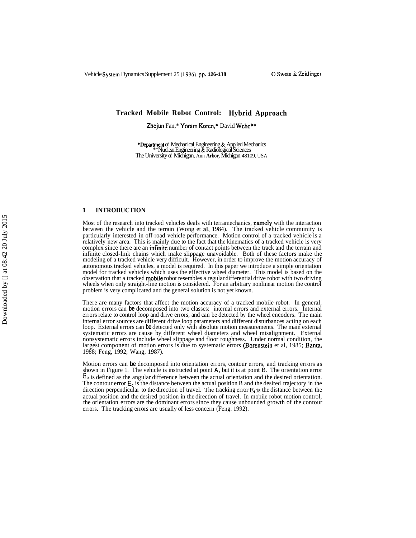## **Tracked Mobile Robot Control: Hybrid Approach**

Zhejun Fan,\* Yoram Koren,\* David Wehe\*\*

\*Department of Mechanical Engineering *8* Applied Mechanics \*\*Nuclear Engineering & Radiological Sciences The University of Michigan, Ann **Arbor,** Michigan 48109, USA

## **1 INTRODUCTION**

Most of the research into tracked vehicles deals with terramechanics, namely with the interaction between the vehicle and the terrain (Wong et **al**, 1984). The tracked vehicle community is particularly interested in off-road vehicle performance. Motion control of a tracked vehicle is a relatively new area. This is mainly due to the fact that the kinematics of a tracked vehicle is very complex since there are an **infinite** number of contact points between the track and the terrain and infinite closed-link chains which make slippage unavoidable. Both of these factors make the modeling of a tracked vehicle very difficult. However, in order to improve the motion accuracy of autonomous tracked vehicles, a model is required. In this paper we introduce a simple orientation model for tracked vehicles which uses the effective wheel diameter. This model is based on the observation that a tracked mobile robot resembles a regular differential drive robot with two driving wheels when only straight-line motion is considered. For an arbitrary nonlinear motion the control problem is very complicated and the general solution is not yet known.

There are many factors that affect the motion accuracy of a tracked mobile robot. In general, motion errors can be decomposed into two classes: internal errors and external errors. Internal errors relate to control loop and drive errors, and can be detected by the wheel encoders. The main internal error sources are different drive loop parameters and different disturbances acting on each loop. External errors can **be** detected only with absolute motion measurements. The main external systematic errors are cause by different wheel diameters and wheel misalignment. External nonsystematic errors include wheel slippage and floor roughness. Under normal condition, the largest component of motion errors is due to systematic errors (Borenstein et al, 1985; Banta, 1988; Feng, 1992; Wang, 1987).

Motion errors can **be** decomposed into orientation errors, contour errors, and tracking errors as shown in Figure 1. The vehicle is instructed at point **A,** but it is at point B. The orientation error **EO** is defined as the angular difference between the actual orientation and the desired orientation. The contour error **E,** is the distance between the actual position B and the desired trajectory in the direction perpendicular to the direction of travel. The tracking error  $E_i$  is the distance between the actual position and the desired position in the direction of travel. In mobile robot motion control, the orientation errors are the dominant errors since they cause unbounded growth of the contour errors. The tracking errors are usually of less concern (Feng. 1992).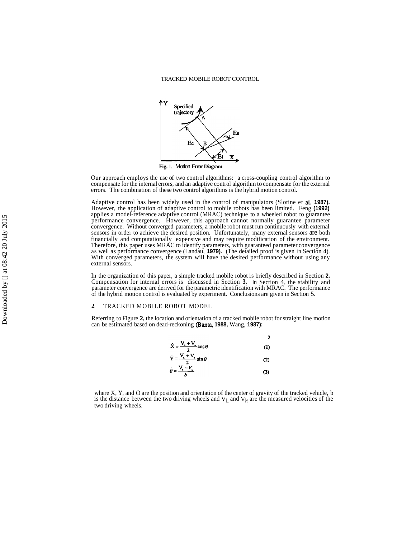

Our approach employs the use of two control algorithms: a cross-coupling control algorithm to compensate for the internal errors, and an adaptive control algorithm to compensate for the external errors. The combination of these two control algorithms is the hybrid motion control.

Adaptive control has been widely used in the control of manipulators (Slotine et al, **1987).**  However, the application of adaptive control to mobile robots has been limited. Feng **(1992)**  applies a model-reference adaptive control (MRAC) technique to a wheeled robot to guarantee performance convergence. However, this approach cannot normally guarantee parameter convergence. Without converged parameters, a mobile robot must run continuously with external sensors in order to achieve the desired position. Unfortunately, many external sensors are both financially and computationally expensive and may require modification of the environment.<br>Therefore, this paper uses MRAC to identify parameters, with guaranteed parameter convergence Therefore, this paper uses MRAC to identify parameters, with guaranteed parameter convergence as well as performance convergence (Landau, **1979).** (The detailed proof is given in Section 4). With converged parameters, the system will have the desired performance without using any external sensors.

In the organization of this paper, a simple tracked mobile robot is briefly described in Section **2.**  Compensation for internal errors is discussed in Section **3.** In Section 4, the stability and parameter convergence are derived for the parametric identification with MRAC. The performance of the hybrid motion control is evaluated by experiment. Conclusions are given in Section 5.

#### **2** TRACKED MOBILE ROBOT MODEL

Referring to Figure **2,** the location and orientation of a tracked mobile robot for straight line motion can be estimated based on dead-reckoning **(Banta, 1988,** Wang, **1987):** 

| $\dot{X} = \frac{V_t + V_s}{2} \cos \theta$   | $\rm _{(1)}$ |
|-----------------------------------------------|--------------|
| $\dot{Y} = \frac{V_x + V_y}{I_x} \sin \theta$ | (2)          |
| – r                                           | (3)          |

where X, Y, and **0** are the position and orientation of the center of gravity of the tracked vehicle, b is the distance between the two driving wheels and  $V_L$  and  $V_R$  are the measured velocities of the two driving wheels.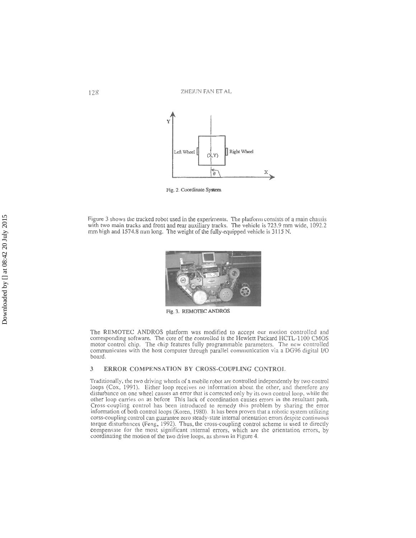128 ZHEJUN **FAN ET AL** 





Figure 3 shows the hacked robot used in the experiments. The platform consists of a main chassis with two main tracks and front and rear auxiliary tracks. The vehicle is 723.9 mm wide, 1092.2 mm high and **1574.8** mm long. The **weight** of the fully-quipped vehicle is 3115 N.



**Fig. 3.** REMOTEC **ANDROS** 

The REMOTEC ANDROS platform was modified to accept our motion controlled and corresponding software. The core of the controlled is the Hewlett Packard HCTL-1100 CMOS motor control chip. The chip features fully programmable parameters. The new controlled communicates with the host computer through parallel communication via a DG96 digital I/O board.

#### **3 ERROR COMPENSATION BY CROSS-COUPLING CONTROL**

Traditionally, the two driving wheels of a mobile robot are controlled independently by two control loops (Cox, 1991). Either loop receives no information about the other, and therefore any disturbance on one wheel causes an error that is corrected only by its own control loop, while the other loop carries on as before This lack of coordination causes errors in the resultant path.<br>Cross-coupling control has been introduced to remedy this problem by sharing the error information of both control loops (Koren, 1980). It has been proven that a robotic system utilizing corss-coupling control can guarantee zero steady-state internal orientation errors despite continuous torque disturbances (Feng, 1992). Thus, the cross-coupling control scheme is used to directly compensate for the most significant internal errors, which are the orientation errors. by coordinating the motion of the two drive loops, as shown in Figure 4.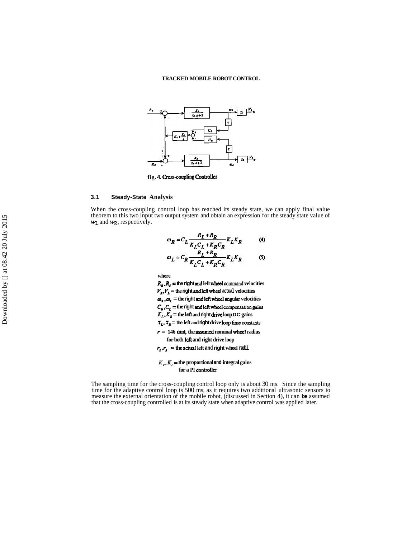#### **TRACKED MOBILE ROBOT CONTROL**



 $fig. 4. Cross-coupling *Controller*$ 

#### **3.1 Steady-State Analysis**

When the cross-coupling control loop has reached its steady state, we can apply final value theorem to this two input two output system and obtain an expression for the steady state value of  $w_L$  and  $w_R$ , respectively.

$$
\omega_R = C_L \frac{R_L + R_R}{K_L C_L + K_R C_R} K_L K_R
$$
\n
$$
\omega_L = C_R \frac{R_L + R_R}{K_L C_L + K_R C_R} K_L K_R
$$
\n(5)

**where** 

 $R_{\text{R}}$ ,  $R_{\text{L}}$  = the right and left wheel command velocities

 $V_{\lambda}$ ,  $V_{\mu}$  = the **right and left wheel** actual velocities

 $\omega_{\mathbf{k}}$ ,  $\omega_{\mathbf{L}}$  = the **right and left wheel angular** velocities

 $C_R$ ,  $C_L$  = the **right and left wheel compensation gains** 

- $K_L$ ,  $K_R$  = the left and **right drive** loop **DC** gains
- $\tau_L$ ,  $\tau_R$  = the left and **right drive loop time constants**
- $r = 146$  **mm, the assumed nominal wheel radius** for both left and right drive loop
- $r_{\mu}, r_{\mu}$  = **the actual left and right wheel radii**
- $K_i$ ,  $K_i$  = the proportional and integral gains **for a PI controller**

The sampling time for the cross-coupling control loop only is about 30 ms. Since the sampling time for the adaptive control loop is 500 ms, as it requires two additional ultrasonic sensors to measure the external orientation of the mobile robot, (discussed in Section 4), it can **be** assumed that the cross-coupling controlled is at its steady state when adaptive control was applied later.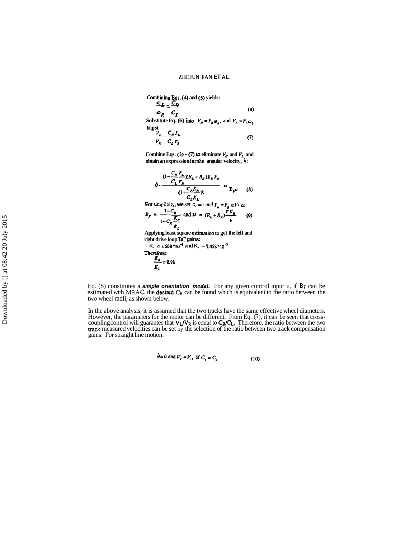Combining Eqs. (4) and (5) yields:  
\n
$$
\frac{\omega_L}{r} = \frac{C_R}{r}
$$
\n(a)  
\nSubstitute Eq. (6) into  $V_R = r_R \omega_R$ , and  $V_L = r_L \omega_L$   
\nto get:  
\n
$$
\frac{V_L}{V_R} = \frac{C_R r_L}{C_L r_R}
$$
\n(7)

Combine Eqs. **(3)**  $\cdot$  **(7) to eliminate**  $V_R$  **and**  $V_L$  **and obtain an expression for** the **angular velocity, i)** :

$$
i = \frac{C_R r_L}{C_L r_R} \times R_L + R_R \times R_R r_R
$$
  
\n
$$
\dot{\theta} = \frac{(1 - \frac{C_R K_R}{K_L})}{(1 + \frac{C_R K_L}{K_L})} \approx B_P u
$$
 (8)  
\nFor simplicity, we set  $C_L = 1$  and  $r_L = r_R = r \cdot \text{so}$ :  
\n $B_P = \frac{1 - C_R}{1 + C_R \frac{K_R}{K_L}}$  and  $u = (R_L + R_R) \frac{r K_R}{b}$  (9)  
\nApplying least square estimation to get the left and right drive loop DC gains:  
\n $K_L = 7.608 \cdot 10^{-3}$  and  $K_S = 7.458 \cdot 10^{-3}$   
\nTherefore:  
\n $\frac{K_R}{K_L} = 0.98$   
\n $K_L$ 

Eq. (8) constitutes a **simple orientation model**. For any given control input u, if Bp can be estimated with MRAC, the **desired** C<sub>R</sub> can be found which is equivalent to the ratio between the two wheel radii, as shown below.

In the above analysis, it is assumed that the two tracks have the same effective wheel diameters. However, the parameters for the motor can be different, From Eq. (7). it can be seen that crosscoupling control will guarantee that  $V_I/V_R$  is equal to  $C_R/C_L$ . Therefore, the ratio between the two track measured velocities can be set by the selection of the ratio between two track compensation gains. For straight line motion:

$$
\dot{\theta} = 0 \text{ and } V_a = V_a, \text{ if } C_a = C_a \tag{10}
$$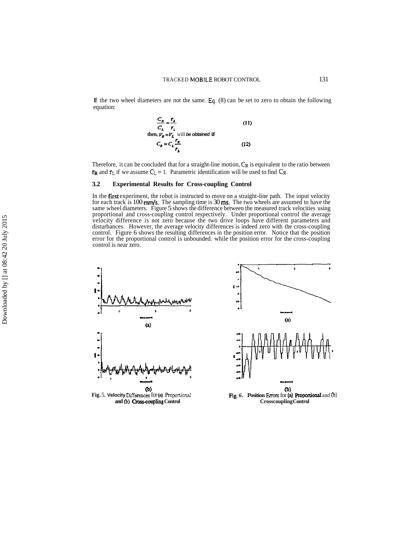If the two wheel diameters are not the same. **Eq.** (8) can be set to zero to obtain the following equation:

$$
\frac{C_R}{C_L} = \frac{r_R}{r_L}
$$
\nthen,  $V_R = V_L$  will be obtained if\n
$$
C_R = C_L \frac{r_R}{r_L}
$$
\n(12)

Therefore, it can be concluded that for a straight-line motion,  $C_R$  is equivalent to the ratio between  $r_R$  and  $r_L$  if we assume  $C_L = 1$ . Parametric identification will be used to find  $C_R$ .

## **3.2 Experimental Results for Cross-coupling Control**

In the first experiment, the robot is instructed to move on a straight-line path. The input velocity for each track is 100 mm/s. The sampling time is 30 ms. The two wheels are assumed to have the same wheel diameters. Figure 5 shows the difference between the measured track velocities using proportional and cross-coupling control respectively. Under proportional control the average velocity difference is not zero because the two drive loops have different parameters and disturbances. However, the average velocity differences is indeed zero with the cross-coupling control. Figure 6 shows the resulting differences in the position error. Notice that the position error for the proportional control is unbounded. while the position error for the cross-coupling control is near zero.







@I **Fig.** *6.* **Position Emws** for **(a)** Proportional and (b) **Crosscoupling Control**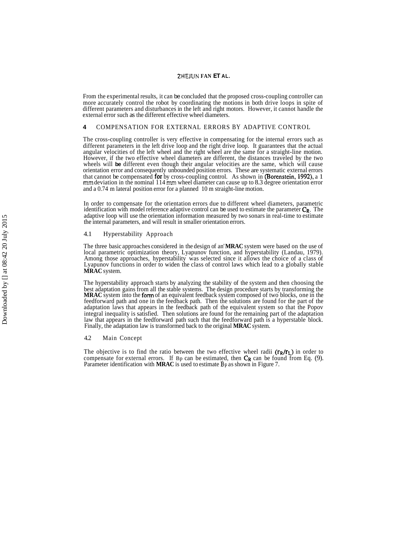## ZHEJLIN **FAN ET AL.**

From the experimental results, it can be concluded that the proposed cross-coupling controller can more accurately control the robot by coordinating the motions in both drive loops in spite of different parameters and disturbances in the left and right motors. However, it cannot handle the external error such as the different effective wheel diameters.

## **4** COMPENSATION FOR EXTERNAL ERRORS BY ADAPTIVE CONTROL

The cross-coupling controller is very effective in compensating for the internal errors such as different parameters in the left drive loop and the right drive loop. It guarantees that the actual angular velocities of the left wheel and the right wheel are the same for a straight-line motion. However, if the two effective wheel diameters are different, the distances traveled by the two wheels will **be** different even though their angular velocities are the same, which will cause orientation error and consequently unbounded position errors. These are systematic external errors that cannot be compensated for by cross-coupling control. As shown in (Borenstein, 1992). a 1 **rnrn** deviation in the nominal 114 mrn wheel diameter can cause up to 8.3 degree orientation error and a 0.74 m lateral position error for a planned 10 m straight-line motion.

In order to compensate for the orientation errors due to different wheel diameters, parametric identification with model reference adaptive control can be used to estimate the parameter **CR.** The adaptive loop will use the orientation information measured by two sonars in real-time to estimate the internal parameters, and will result in smaller orientation errors.

#### 4.1 Hyperstability Approach

The three basic approaches considered in the design of an' **MRAC** system were based on the use of local parametric optimization theory, Lyapunov function, and hyperstability (Landau, 1979). Among those approaches, hyperstability was selected since it allows the choice of a class of Lyapunov functions in order to widen the class of control laws which lead to a globally stable **MRAC** system.

The hyperstability approach starts by analyzing the stability of the system and then choosing the best adaptation gains from all the stable systems. The design procedure starts by transforming the **MRAC** system into the form of an equivalent feedback system composed of two blocks, one in the feedforward path and one in the feedback path. Then the solutions are found for the part of the adaptation laws that appears in the feedback path of the equivalent system so that the Popov integral inequality is satisfied. Then solutions are found for the remaining part of the adaptation law that appears in the feedforward path such that the feedforward path is a hyperstable block. Finally, the adaptation law is transformed back to the original **MRAC** system.

#### 4.2 Main Concept

The objective is to find the ratio between the two effective wheel radii  $(r_R/r_L)$  in order to compensate for external errors. If Bp can be estimated, then **CR** can be found from Eq. (9). Parameter identification with **MRAC** is used to estimate **Bp** as shown in Figure 7.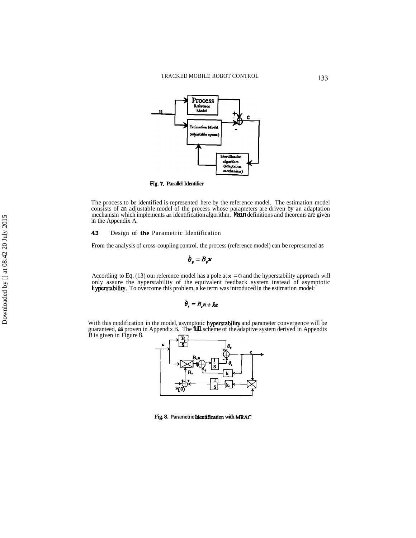

**fig. 7. Parallel Identifier** 

The process to be identified is represented here by the reference model. The estimation model consists of an adjustable model of the process whose parameters are driven by an adaptation mechanism which implements an identification algorithm. **Main** definitions and theorems are given in the Appendix A.

**4.3** Design of the Parametric Identification

From the analysis of cross-coupling control. the process (reference model) can be represented as

$$
\dot{\boldsymbol{\theta}}_{p} = \boldsymbol{B}_{p} \boldsymbol{u}
$$

According to Eq. (13) our reference model has a pole at  $s = 0$  and the hyperstability approach will only assure the hyperstability of the equivalent feedback system instead of asymptotic hyperstability. To overcome this problem, a ke term was introduced in the estimation model:

$$
\dot{\theta}_s = B_s u + k e
$$

With this modification in the model, asymptotic **hyperstability** and parameter convergence will be guaranteed, **as** proven in Appendix B. The **full** scheme of the adaptive system derived in Appendix B is given in Figure 8.



**Fig. 8. Parametric** Identification **with MRAC**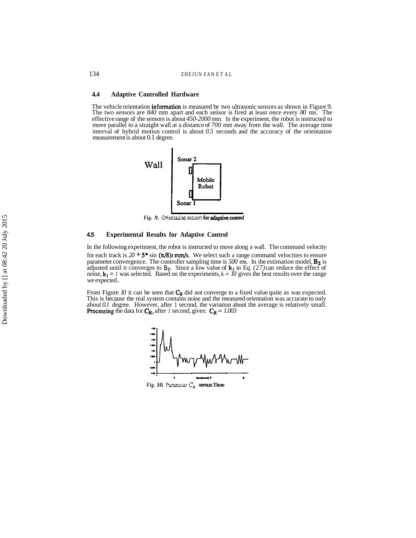## 134 ZHEJUN FAN ET AL

#### **4.4 Adaptive Controlled Hardware**

The vehicle orientation **information** is measured by two ultrasonic sensors as shown in Figure 9. The two sensors are *840* mm apart and each sensor is fired at least once every *80* ms. The effective range of the sensors is about *450-2000* mm. In the experiment, the robot is instructed to move parallel to a straight wall at a distance of *700* mm away from the wall. The average time interval of hybrid motion control is about *0.5* seconds and the accuracy of the orientation measurement is about 0.1 degree.



*Fig. 9.* **OrieIltaIioo sensors for adaptive** coornl

## **4.5 Experimental Results for Adaptive Control**

In the following experiment, the robot is instructed to move along a wall. The command velocity for each track is  $20 + 5^*$  sin  $(\pi/8)t$  mm/s. We select such a range command velocities to ensure parameter convergence. The controller sampling time is *500* ms. In the estimation model, Bs is adjusted until it converges to  $B_p$ . Since a low value of  $\mathbf{k}_1$  in Eq. (27) can reduce the effect of noise,  $\mathbf{k}_1 = l$  was selected. Based on the experiments,  $k = l_0$  gives the best results over the range we expected..

From Figure  $10$  it can be seen that  $C_R$  did not converge to a fixed value quite as was expected. This is because the real system contains noise and the measured orientation was accurate to only about *0.1* degree. However, after 1 second, the variation about the average is relatively small. **Processing** the data for  $C_R$ , after *1* second, gives:  $C_R = 1.003$ 



*Fig. 10.* Parameter  $C_8$  **versus Time**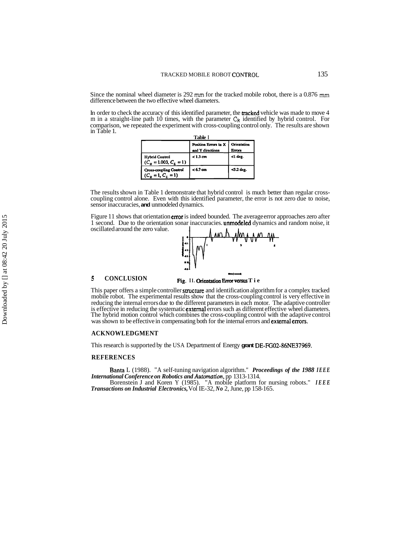Since the nominal wheel diameter is 292 **mrn** for the tracked mobile robot, there is a 0.876 **mm** difference between the two effective wheel diameters.

In order to check the accuracy of this identified parameter, the **tracked** vehicle was made to move  $4$ m in a straight-line path 10 times, with the parameter **CR** identified by hybrid control. For comparison, we repeated the experiment with cross-coupling control only. The results are shown in Table 1.

| Table I                                           |                                          |                       |  |
|---------------------------------------------------|------------------------------------------|-----------------------|--|
|                                                   | Position Errors in X<br>and Y directions | Orientation<br>Errors |  |
| <b>Hybrid Control</b><br>$(C_p = 1.003, C_f = 1)$ | $< 1.3$ cm                               | <1 deg.               |  |
| Cross-coupling Control<br>$(C_p = 1, C_t = 1)$    | <6.7 cm                                  | $<$ 2 deg.            |  |

The results shown in Table 1 demonstrate that hybrid control is much better than regular crosscoupling control alone. Even with this identified parameter, the error is not zero due to noise, sensor inaccuracies, **and** unmodeled dynamics.

Figure 11 shows that orientation **error** is indeed bounded. The average error approaches zero after 1 second. Due to the orientation sonar inaccuracies. unmodeled dynamics and random noise, it oscillated around the zero value.



#### 5 **CONCLUSION**

**fig.** II. Orientation **Error** versus T i e

This paper offers a simple controller structure and identification algorithm for a complex tracked mobile robot. The experimental results show that the cross-coupling control is very effective in reducing the internal errors due to the different parameters in each motor. The adaptive controller is effective in reducing the systematic **external** errors such as different effective wheel diameters. The hybrid motion control which combines the cross-coupling control with the adaptive control was shown to be effective in compensating both for the internal errors and external errors.

#### **ACKNOWLEDGMENT**

This research is supported by the USA Department of Energy **grant** DE-FG02-86NE37969.

#### **REFERENCES**

Banta L (1988). "A self-tuning navigation algorithm." *Proceedings of the 1988 IEEE International Conference on Robotics and Automation,* pp 13 13- 13 14.

Borenstein J and Koren Y (1985). "A mobile platform for nursing robots." *IEEE Transactions on Industrial Electronics,* Vol IE-32, *No* 2, June, pp 158-165.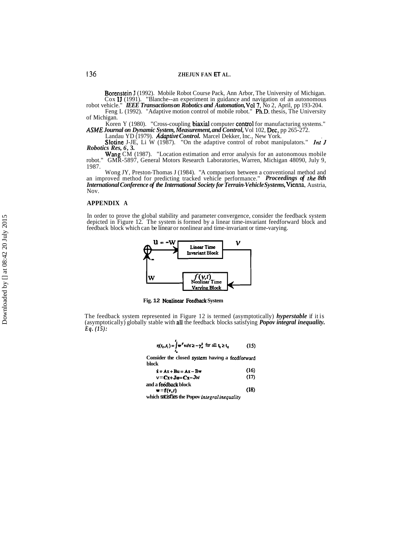## 136 **ZHEJUN FAN ET AL.**

Borenstein **J** (1992). Mobile Robot Course Pack, Ann Arbor, The University of Michigan. Cox IJ (1991). "Blanche--an experiment in guidance and navigation of an autonomous robot vehicle." *IEEE Transactions on Robotics and Automation,* Vol7, No 2, April, pp 193-204.

Feng L (1992). "Adaptive motion control of mobile robot." **Ph.D.** thesis, The University of Michigan.

Koren Y (1980). "Cross-coupling biaxial computer control for manufacturing systems." *ASME Journal on Dynamic System, Measurement, and Control,* Vol 102, **Dec,** pp 265-272.

Landau YD (1979). *Adaptive Control.* Marcel Dekker, Inc., New York.<br>Slotine J-JE, Li W (1987). "On the adaptive control of robot manipulators." *Int J Robotics Res, 6,* **3.** 

Wang CM (1987). "Location estimation and error analysis for an autonomous mobile robot." GMR-5897, General Motors Research Laboratories, Warren, Michigan 48090, July 9, 1987.

Wong JY, Preston-Thomas J (1984). "A comparison between a conventional method and an improved method for predicting tracked vehicle performance." *Proceedings of the 8th International Conference of the International Society for Terrain-Vehicle Systems,* Vienna, Austria, Nov.

## **APPENDIX A**

In order to prove the global stability and parameter convergence, consider the feedback system depicted in Figure 12. The system is formed by a linear time-invariant feedforward block and feedback block which can be linear or nonlinear and time-invariant or time-varying.



**Fig. 12 Nonlinear Feedback System** 

The feedback system represented in Figure 12 is termed (asymptotically) *hyperstable* if it is (asymptotically) globally stable with aU the feedback blocks satisfying *Popov integral inequality. Eq. (15):* 

$$
\eta(t_0, t_1) = \int_{t_0}^{t} \mathbf{w}^T \mathbf{v} d\tau \ge -\gamma_o^2 \text{ for all } t_1 \ge t_0 \tag{15}
$$

Consider the closed system having a feedforward **block** 

| $\dot{x} = Ax + Bu = Ax - Bw$                 | (16) |
|-----------------------------------------------|------|
| $v = Cx + Ju = Cx - Jw$                       | (17) |
| and a <b>feedback</b> block                   |      |
| $\mathbf{w} = f(\mathbf{v},t)$                | (18) |
| which satisfies the Popov integral inequality |      |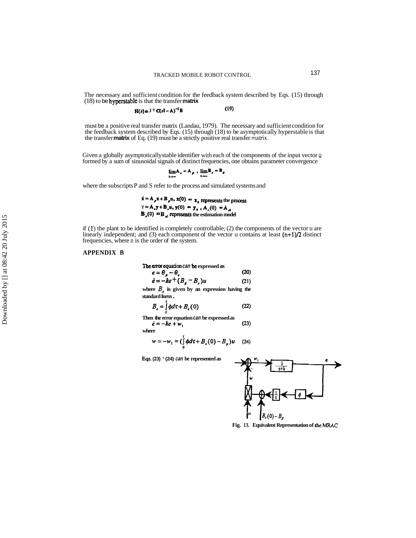The necessary and sufficient condition for the feedback system described by Eqs. (15) through  $(18)$  to be hyperstable is that the transfer matrix

 $H(s) = J + Q(sI - A)^{-1}B$  (19)

must be a positive real transfer matrix (Landau, 1979). The necessary and sufficient condition for the feedback system described by Eqs. (15) through (18) to be asymptotically hyperstable is that the transfer **matrix** of Eq. (19) must be a strictly positive real transfer **matrix.** 

Given a globally asymptotically stable identifier with each of the components of the input vector **u**  formed by a sum of sinusoidal signals of distinct frequencies, one obtains parameter convergence

$$
\lim_{t\to\infty} A_t = A_p, \lim_{t\to\infty} B_t = B_p
$$

where the subscripts P and S refer to the process and simulated systems and

$$
\dot{x} = A_{\rho}x + B_{\rho}u, x(0) = x_0
$$
 represents the process  
\n
$$
y = A_{\rho}y + B_{\rho}u, y(0) = y_0, A_{\rho}(0) = A_{\rho}
$$
  
\n
$$
B_{\rho}(0) = B_{\rho_0}
$$
 represents the estimation model

if (1) the plant to be identified is completely controllable; (2) the components of the vector u are linearly independent; and (3) each component of the vector u contains at least  $(n+1)/2$  distinct frequencies, where n is the order of the system.

## **APPENDIX B**

The error equation can be expressed as  
\n
$$
e = \theta_p - \theta_s
$$
 (20)  
\n $\dot{e} = -ke + (B_p - B_s)u$  (21)  
\nwhere  $B_s$  is given by an expression having the  
\nstandard form.  
\n $B_s = \int_0^t \phi d\tau + B_s(0)$  (22)  
\nThen the error equation can be expressed as  
\n $\dot{e} = -ke + w_1$  (23)

**where** 

$$
w = -w_1 = (\int_0^t \phi dt + B_x(0) - B_p)u \quad (24)
$$

**Eqs. (23)** - **(24) can be represented as** 



**Fig. 13. Equivalent Representation of the MRAC**